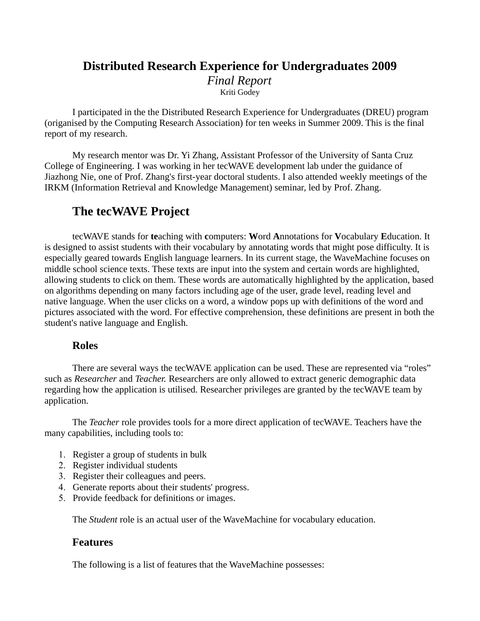### **Distributed Research Experience for Undergraduates 2009** *Final Report* Kriti Godey

I participated in the the Distributed Research Experience for Undergraduates (DREU) program (origanised by the Computing Research Association) for ten weeks in Summer 2009. This is the final report of my research.

My research mentor was Dr. Yi Zhang, Assistant Professor of the University of Santa Cruz College of Engineering. I was working in her tecWAVE development lab under the guidance of Jiazhong Nie, one of Prof. Zhang's first-year doctoral students. I also attended weekly meetings of the IRKM (Information Retrieval and Knowledge Management) seminar, led by Prof. Zhang.

### **The tecWAVE Project**

tecWAVE stands for **te**aching with **c**omputers: **W**ord **A**nnotations for **V**ocabulary **E**ducation. It is designed to assist students with their vocabulary by annotating words that might pose difficulty. It is especially geared towards English language learners. In its current stage, the WaveMachine focuses on middle school science texts. These texts are input into the system and certain words are highlighted, allowing students to click on them. These words are automatically highlighted by the application, based on algorithms depending on many factors including age of the user, grade level, reading level and native language. When the user clicks on a word, a window pops up with definitions of the word and pictures associated with the word. For effective comprehension, these definitions are present in both the student's native language and English.

#### **Roles**

There are several ways the tecWAVE application can be used. These are represented via "roles" such as *Researcher* and *Teacher.* Researchers are only allowed to extract generic demographic data regarding how the application is utilised. Researcher privileges are granted by the tecWAVE team by application.

The *Teacher* role provides tools for a more direct application of tecWAVE. Teachers have the many capabilities, including tools to:

- 1. Register a group of students in bulk
- 2. Register individual students
- 3. Register their colleagues and peers.
- 4. Generate reports about their students' progress.
- 5. Provide feedback for definitions or images.

The *Student* role is an actual user of the WaveMachine for vocabulary education.

#### **Features**

The following is a list of features that the WaveMachine possesses: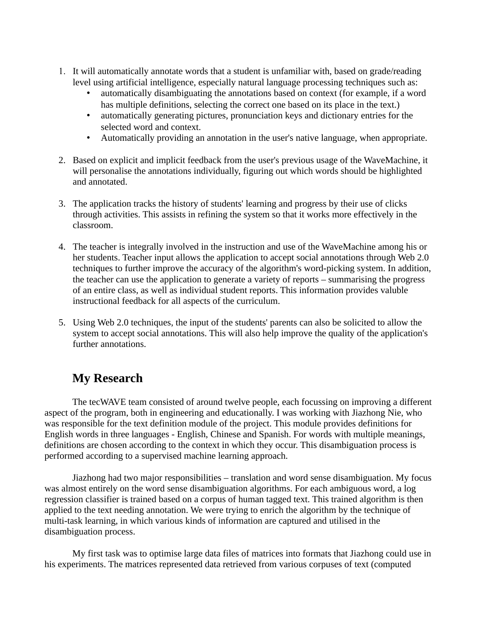- 1. It will automatically annotate words that a student is unfamiliar with, based on grade/reading level using artificial intelligence, especially natural language processing techniques such as:
	- automatically disambiguating the annotations based on context (for example, if a word has multiple definitions, selecting the correct one based on its place in the text.)
	- automatically generating pictures, pronunciation keys and dictionary entries for the selected word and context.
	- Automatically providing an annotation in the user's native language, when appropriate.
- 2. Based on explicit and implicit feedback from the user's previous usage of the WaveMachine, it will personalise the annotations individually, figuring out which words should be highlighted and annotated.
- 3. The application tracks the history of students' learning and progress by their use of clicks through activities. This assists in refining the system so that it works more effectively in the classroom.
- 4. The teacher is integrally involved in the instruction and use of the WaveMachine among his or her students. Teacher input allows the application to accept social annotations through Web 2.0 techniques to further improve the accuracy of the algorithm's word-picking system. In addition, the teacher can use the application to generate a variety of reports – summarising the progress of an entire class, as well as individual student reports. This information provides valuble instructional feedback for all aspects of the curriculum.
- 5. Using Web 2.0 techniques, the input of the students' parents can also be solicited to allow the system to accept social annotations. This will also help improve the quality of the application's further annotations.

# **My Research**

The tecWAVE team consisted of around twelve people, each focussing on improving a different aspect of the program, both in engineering and educationally. I was working with Jiazhong Nie, who was responsible for the text definition module of the project. This module provides definitions for English words in three languages - English, Chinese and Spanish. For words with multiple meanings, definitions are chosen according to the context in which they occur. This disambiguation process is performed according to a supervised machine learning approach.

Jiazhong had two major responsibilities – translation and word sense disambiguation. My focus was almost entirely on the word sense disambiguation algorithms. For each ambiguous word, a log regression classifier is trained based on a corpus of human tagged text. This trained algorithm is then applied to the text needing annotation. We were trying to enrich the algorithm by the technique of multi-task learning, in which various kinds of information are captured and utilised in the disambiguation process.

My first task was to optimise large data files of matrices into formats that Jiazhong could use in his experiments. The matrices represented data retrieved from various corpuses of text (computed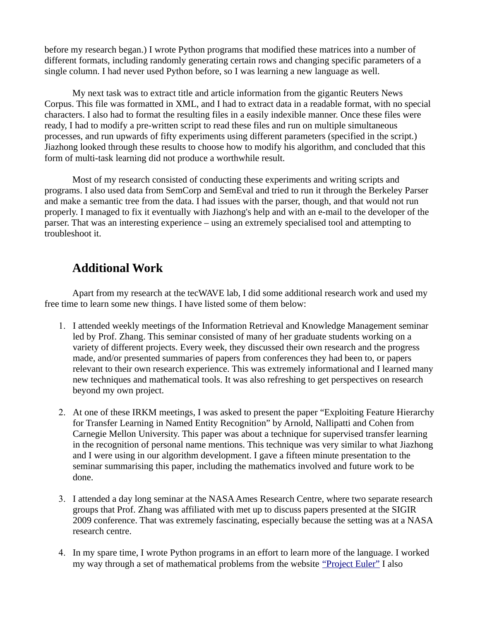before my research began.) I wrote Python programs that modified these matrices into a number of different formats, including randomly generating certain rows and changing specific parameters of a single column. I had never used Python before, so I was learning a new language as well.

My next task was to extract title and article information from the gigantic Reuters News Corpus. This file was formatted in XML, and I had to extract data in a readable format, with no special characters. I also had to format the resulting files in a easily indexible manner. Once these files were ready, I had to modify a pre-written script to read these files and run on multiple simultaneous processes, and run upwards of fifty experiments using different parameters (specified in the script.) Jiazhong looked through these results to choose how to modify his algorithm, and concluded that this form of multi-task learning did not produce a worthwhile result.

Most of my research consisted of conducting these experiments and writing scripts and programs. I also used data from SemCorp and SemEval and tried to run it through the Berkeley Parser and make a semantic tree from the data. I had issues with the parser, though, and that would not run properly. I managed to fix it eventually with Jiazhong's help and with an e-mail to the developer of the parser. That was an interesting experience – using an extremely specialised tool and attempting to troubleshoot it.

# **Additional Work**

Apart from my research at the tecWAVE lab, I did some additional research work and used my free time to learn some new things. I have listed some of them below:

- 1. I attended weekly meetings of the Information Retrieval and Knowledge Management seminar led by Prof. Zhang. This seminar consisted of many of her graduate students working on a variety of different projects. Every week, they discussed their own research and the progress made, and/or presented summaries of papers from conferences they had been to, or papers relevant to their own research experience. This was extremely informational and I learned many new techniques and mathematical tools. It was also refreshing to get perspectives on research beyond my own project.
- 2. At one of these IRKM meetings, I was asked to present the paper "Exploiting Feature Hierarchy for Transfer Learning in Named Entity Recognition" by Arnold, Nallipatti and Cohen from Carnegie Mellon University. This paper was about a technique for supervised transfer learning in the recognition of personal name mentions. This technique was very similar to what Jiazhong and I were using in our algorithm development. I gave a fifteen minute presentation to the seminar summarising this paper, including the mathematics involved and future work to be done.
- 3. I attended a day long seminar at the NASA Ames Research Centre, where two separate research groups that Prof. Zhang was affiliated with met up to discuss papers presented at the SIGIR 2009 conference. That was extremely fascinating, especially because the setting was at a NASA research centre.
- 4. In my spare time, I wrote Python programs in an effort to learn more of the language. I worked my way through a set of mathematical problems from the website ["Project Euler"](http://projecteuler.net/) I also